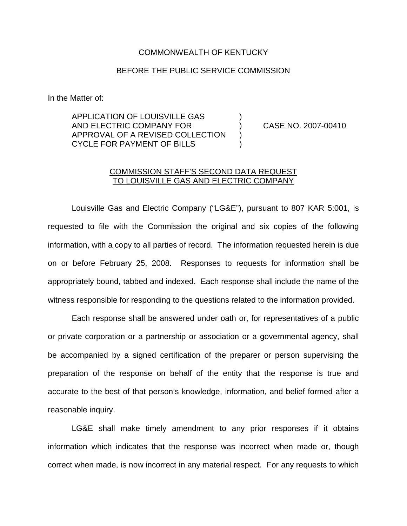## COMMONWEALTH OF KENTUCKY

## BEFORE THE PUBLIC SERVICE COMMISSION

In the Matter of:

APPLICATION OF LOUISVILLE GAS ) AND ELECTRIC COMPANY FOR ) CASE NO. 2007-00410 APPROVAL OF A REVISED COLLECTION CYCLE FOR PAYMENT OF BILLS )

## COMMISSION STAFF'S SECOND DATA REQUEST TO LOUISVILLE GAS AND ELECTRIC COMPANY

Louisville Gas and Electric Company ("LG&E"), pursuant to 807 KAR 5:001, is requested to file with the Commission the original and six copies of the following information, with a copy to all parties of record. The information requested herein is due on or before February 25, 2008. Responses to requests for information shall be appropriately bound, tabbed and indexed. Each response shall include the name of the witness responsible for responding to the questions related to the information provided.

Each response shall be answered under oath or, for representatives of a public or private corporation or a partnership or association or a governmental agency, shall be accompanied by a signed certification of the preparer or person supervising the preparation of the response on behalf of the entity that the response is true and accurate to the best of that person's knowledge, information, and belief formed after a reasonable inquiry.

LG&E shall make timely amendment to any prior responses if it obtains information which indicates that the response was incorrect when made or, though correct when made, is now incorrect in any material respect. For any requests to which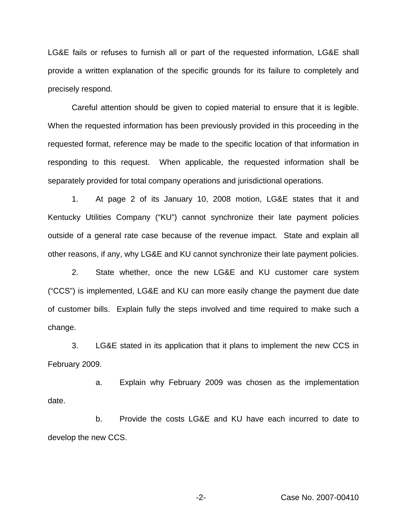LG&E fails or refuses to furnish all or part of the requested information, LG&E shall provide a written explanation of the specific grounds for its failure to completely and precisely respond.

Careful attention should be given to copied material to ensure that it is legible. When the requested information has been previously provided in this proceeding in the requested format, reference may be made to the specific location of that information in responding to this request. When applicable, the requested information shall be separately provided for total company operations and jurisdictional operations.

1. At page 2 of its January 10, 2008 motion, LG&E states that it and Kentucky Utilities Company ("KU") cannot synchronize their late payment policies outside of a general rate case because of the revenue impact. State and explain all other reasons, if any, why LG&E and KU cannot synchronize their late payment policies.

2. State whether, once the new LG&E and KU customer care system ("CCS") is implemented, LG&E and KU can more easily change the payment due date of customer bills. Explain fully the steps involved and time required to make such a change.

3. LG&E stated in its application that it plans to implement the new CCS in February 2009.

a. Explain why February 2009 was chosen as the implementation date.

b. Provide the costs LG&E and KU have each incurred to date to develop the new CCS.

-2- Case No. 2007-00410